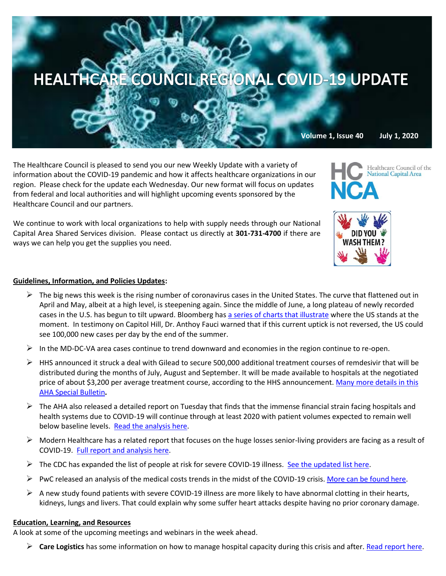

The Healthcare Council is pleased to send you our new Weekly Update with a variety of information about the COVID-19 pandemic and how it affects healthcare organizations in our region. Please check for the update each Wednesday. Our new format will focus on updates from federal and local authorities and will highlight upcoming events sponsored by the Healthcare Council and our partners.

We continue to work with local organizations to help with supply needs through our National Capital Area Shared Services division. Please contact us directly at **301-731-4700** if there are ways we can help you get the supplies you need.

## **Guidelines, Information, and Policies Updates:**

- $\triangleright$  The big news this week is the rising number of coronavirus cases in the United States. The curve that flattened out in April and May, albeit at a high level, is steepening again. Since the middle of June, a long plateau of newly recorded cases in the U.S. has begun to tilt upward. Bloomberg has [a series of charts that illustrate](https://www.bloomberg.com/news/articles/2020-06-28/america-s-shifting-covid-19-epidemic-in-five-charts?mkt_tok=eyJpIjoiWkRrNFpUazNNVFJrTlRRMCIsInQiOiJnUzh1Tk1uWXEyd21VRkZrS2JWT2xjUmNcL2sxTjBES2pJMm9GRXlSTThCNkRkYWsrVXpCWlFLbCtCeVhRZlhYU29TSjJsZ2FraWEzZGNYeGJ5KzJuK2xaZURyZmxwREwyMFN6XC9vRk82SkpLaFFYSmdzcWV4NURlSU5meXBQTnFkIn0=) where the US stands at the moment. In testimony on Capitol Hill, Dr. Anthoy Fauci warned that if this current uptick is not reversed, the US could see 100,000 new cases per day by the end of the summer.
- $\triangleright$  In the MD-DC-VA area cases continue to trend downward and economies in the region continue to re-open.
- $\triangleright$  HHS announced it struck a deal with Gilead to secure 500,000 additional treatment courses of remdesivir that will be distributed during the months of July, August and September. It will be made available to hospitals at the negotiated price of about \$3,200 per average treatment course, according to the HHS announcement. Many more details in this [AHA Special Bulletin](https://contentsharing.net/actions/email_web_version.cfm?ep=Bdhtp-zVuqFkgQiV6-lxty0f-nrLBJWzuTngPvD-5dXtuHqyynR2iNr4oAcLNavpKwRc2Ds27Kqkn3xUNeBL48vXZ5-6MZDnw7rk3YCUK7SZX-zRuaDbC1VCJ04obGlb)**.**
- $\triangleright$  The AHA also released a detailed report on Tuesday that finds that the immense financial strain facing hospitals and health systems due to COVID-19 will continue through at least 2020 with patient volumes expected to remain well below baseline levels. [Read the analysis here.](https://contentsharing.net/actions/email_web_version.cfm?ep=Bdhtp-zVuqFkgQiV6-lxty0f-nrLBJWzuTngPvD-5dViyzwQKgqS3-yPQ4FCQjnF3WjQow5bIMgxcI6LzE5Z3iSIWdDBFarRu6XRMx_kkzdXOZ9IeHIpvU5I8qn2JCsx)
- $\triangleright$  Modern Healthcare has a related report that focuses on the huge losses senior-living providers are facing as a result of COVID-19. [Full report and analysis here.](https://www.modernhealthcare.com/finance/senior-living-providers-facing-millions-dollars-lost-revenue-new-costs-tied-covid-19?utm_source=modern-healthcare-covid-19-coverage&utm_medium=email&utm_campaign=20200629&utm_content=article6-headline)
- $\triangleright$  The CDC has expanded the list of people at risk for severe COVID-19 illness. [See the updated list here.](https://www.cdc.gov/media/releases/2020/p0625-update-expands-covid-19.html?deliveryName=USCDC_1_3-DM31107)
- PwC released an analysis of the medical costs trends in the midst of the COVID-19 crisis. [More can be found here.](https://www.pwc.com/us/en/industries/health-industries/library/behind-the-numbers.html?WT.mc_id=CT2-PL200-DM2-TR1-LS4-ND8-PR4-CN_HRINEXTINHEALTH06262020-06262020&pwctrackemail=lpitton@healthcare-council.org)
- $\triangleright$  A new study found patients with severe COVID-19 illness are more likely to have abnormal clotting in their hearts, kidneys, lungs and livers. That could explain why some suffer heart attacks despite having no prior coronary damage.

## **Education, Learning, and Resources**

A look at some of the upcoming meetings and webinars in the week ahead.

➢ **Care Logistics** has some information on how to manage hospital capacity during this crisis and after. [Read report here.](https://www.carelogistics.com/core-command?utm_campaign=Channel%20Partner%20Content&utm_medium=email&_hsenc=p2ANqtz-_qpYMFyfK4fmCJI3DUZvrVT9trxxIJxKv6jENKP6g__YuPihOv0YGzHlM2qZyqkr92xjGxCMQfibwU_kNQpeyYNGnlDa4YAT-29rwbG2trEe7kV0g&_hsmi=89767229&utm_content=89423044&utm_source=hs_email&hsCtaTracking=0fdbab14-f503-447e-b28e-840e56976794|aa24233f-85dd-436c-aa8a-017133c4b135)

Healthcare Council of the<br>National Capital Area